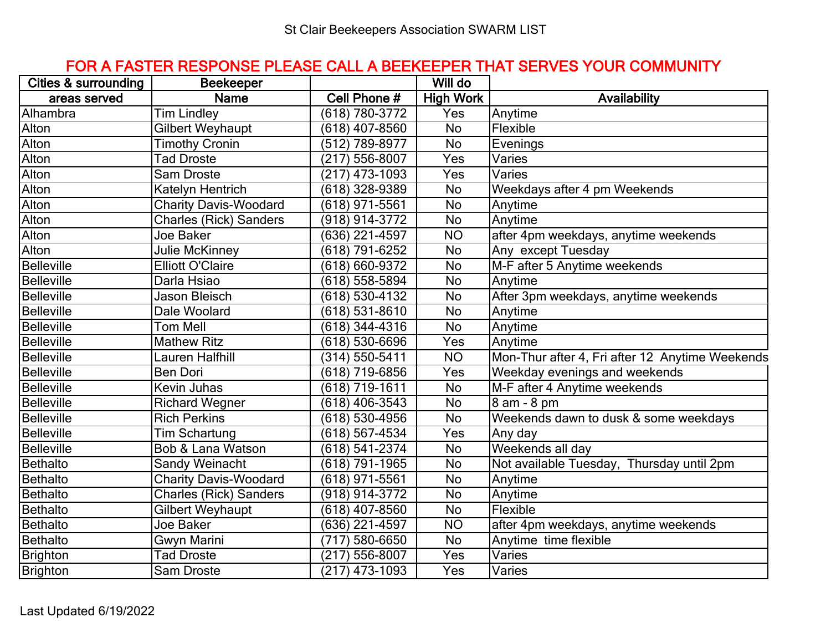## FOR A FASTER RESPONSE PLEASE CALL A BEEKEEPER THAT SERVES YOUR COMMUNITY

| Cities & surrounding | <b>Beekeeper</b>              |                | Will do          |                                                 |
|----------------------|-------------------------------|----------------|------------------|-------------------------------------------------|
| areas served         | <b>Name</b>                   | Cell Phone #   | <b>High Work</b> | Availability                                    |
| Alhambra             | <b>Tim Lindley</b>            | (618) 780-3772 | Yes              | Anytime                                         |
| Alton                | Gilbert Weyhaupt              | (618) 407-8560 | <b>No</b>        | Flexible                                        |
| Alton                | <b>Timothy Cronin</b>         | (512) 789-8977 | <b>No</b>        | Evenings                                        |
| Alton                | <b>Tad Droste</b>             | (217) 556-8007 | Yes              | Varies                                          |
| Alton                | Sam Droste                    | (217) 473-1093 | Yes              | Varies                                          |
| Alton                | Katelyn Hentrich              | (618) 328-9389 | <b>No</b>        | Weekdays after 4 pm Weekends                    |
| Alton                | <b>Charity Davis-Woodard</b>  | (618) 971-5561 | <b>No</b>        | Anytime                                         |
| Alton                | <b>Charles (Rick) Sanders</b> | (918) 914-3772 | <b>No</b>        | Anytime                                         |
| Alton                | Joe Baker                     | (636) 221-4597 | <b>NO</b>        | after 4pm weekdays, anytime weekends            |
| Alton                | Julie McKinney                | (618) 791-6252 | <b>No</b>        | Any except Tuesday                              |
| <b>Belleville</b>    | <b>Elliott O'Claire</b>       | (618) 660-9372 | <b>No</b>        | M-F after 5 Anytime weekends                    |
| <b>Belleville</b>    | Darla Hsiao                   | (618) 558-5894 | <b>No</b>        | Anytime                                         |
| <b>Belleville</b>    | Jason Bleisch                 | (618) 530-4132 | No               | After 3pm weekdays, anytime weekends            |
| Belleville           | Dale Woolard                  | (618) 531-8610 | <b>No</b>        | Anytime                                         |
| <b>Belleville</b>    | <b>Tom Mell</b>               | (618) 344-4316 | <b>No</b>        | Anytime                                         |
| <b>Belleville</b>    | <b>Mathew Ritz</b>            | (618) 530-6696 | Yes              | Anytime                                         |
| <b>Belleville</b>    | Lauren Halfhill               | (314) 550-5411 | <b>NO</b>        | Mon-Thur after 4, Fri after 12 Anytime Weekends |
| <b>Belleville</b>    | <b>Ben Dori</b>               | (618) 719-6856 | Yes              | Weekday evenings and weekends                   |
| <b>Belleville</b>    | Kevin Juhas                   | (618) 719-1611 | <b>No</b>        | M-F after 4 Anytime weekends                    |
| <b>Belleville</b>    | <b>Richard Wegner</b>         | (618) 406-3543 | <b>No</b>        | 8 am - 8 pm                                     |
| Belleville           | <b>Rich Perkins</b>           | (618) 530-4956 | <b>No</b>        | Weekends dawn to dusk & some weekdays           |
| <b>Belleville</b>    | Tim Schartung                 | (618) 567-4534 | Yes              | Any day                                         |
| <b>Belleville</b>    | Bob & Lana Watson             | (618) 541-2374 | <b>No</b>        | Weekends all day                                |
| <b>Bethalto</b>      | Sandy Weinacht                | (618) 791-1965 | <b>No</b>        | Not available Tuesday, Thursday until 2pm       |
| Bethalto             | <b>Charity Davis-Woodard</b>  | (618) 971-5561 | <b>No</b>        | Anytime                                         |
| <b>Bethalto</b>      | <b>Charles (Rick) Sanders</b> | (918) 914-3772 | <b>No</b>        | Anytime                                         |
| <b>Bethalto</b>      | Gilbert Weyhaupt              | (618) 407-8560 | <b>No</b>        | Flexible                                        |
| <b>Bethalto</b>      | Joe Baker                     | (636) 221-4597 | <b>NO</b>        | after 4pm weekdays, anytime weekends            |
| Bethalto             | Gwyn Marini                   | (717) 580-6650 | <b>No</b>        | Anytime time flexible                           |
| <b>Brighton</b>      | <b>Tad Droste</b>             | (217) 556-8007 | Yes              | Varies                                          |
| <b>Brighton</b>      | Sam Droste                    | (217) 473-1093 | Yes              | Varies                                          |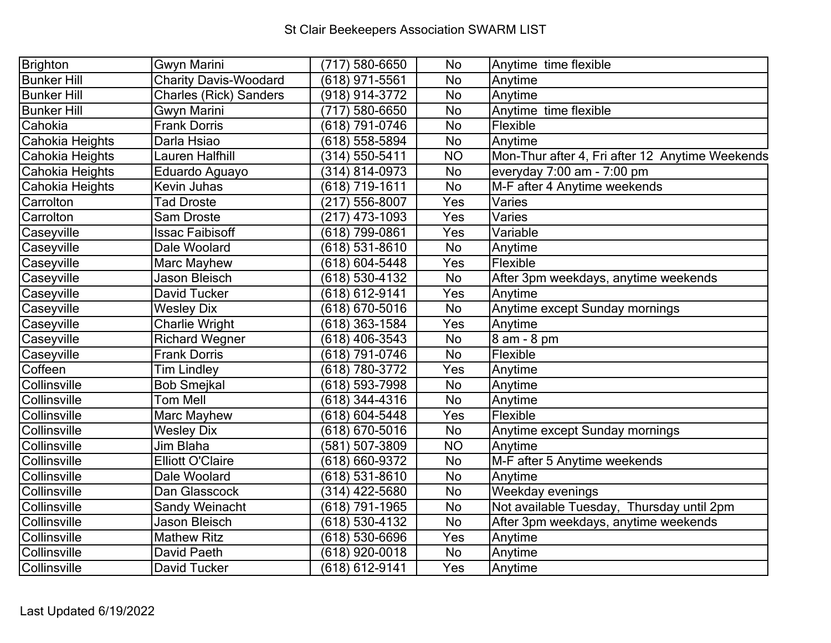| Brighton           | Gwyn Marini                   | (717) 580-6650     | <b>No</b>         | Anytime time flexible                           |
|--------------------|-------------------------------|--------------------|-------------------|-------------------------------------------------|
| <b>Bunker Hill</b> | <b>Charity Davis-Woodard</b>  | (618) 971-5561     | <b>No</b>         | Anytime                                         |
| <b>Bunker Hill</b> | <b>Charles (Rick) Sanders</b> | (918) 914-3772     | <b>No</b>         | Anytime                                         |
| <b>Bunker Hill</b> | Gwyn Marini                   | (717) 580-6650     | No                | Anytime time flexible                           |
| Cahokia            | <b>Frank Dorris</b>           | (618) 791-0746     | <b>No</b>         | Flexible                                        |
| Cahokia Heights    | Darla Hsiao                   | (618) 558-5894     | No                | Anytime                                         |
| Cahokia Heights    | Lauren Halfhill               | (314) 550-5411     | <b>NO</b>         | Mon-Thur after 4, Fri after 12 Anytime Weekends |
| Cahokia Heights    | Eduardo Aguayo                | (314) 814-0973     | <b>No</b>         | everyday 7:00 am - 7:00 pm                      |
| Cahokia Heights    | Kevin Juhas                   | (618) 719-1611     | <b>No</b>         | M-F after 4 Anytime weekends                    |
| Carrolton          | <b>Tad Droste</b>             | (217) 556-8007     | Yes               | Varies                                          |
| Carrolton          | Sam Droste                    | (217) 473-1093     | Yes               | Varies                                          |
| Caseyville         | <b>Issac Faibisoff</b>        | (618) 799-0861     | Yes               | Variable                                        |
| Caseyville         | Dale Woolard                  | $(618) 531 - 8610$ | No                | Anytime                                         |
| Caseyville         | Marc Mayhew                   | (618) 604-5448     | $\overline{Y}$ es | Flexible                                        |
| Caseyville         | Jason Bleisch                 | (618) 530-4132     | <b>No</b>         | After 3pm weekdays, anytime weekends            |
| Caseyville         | David Tucker                  | (618) 612-9141     | Yes               | Anytime                                         |
| Caseyville         | <b>Wesley Dix</b>             | (618) 670-5016     | <b>No</b>         | Anytime except Sunday mornings                  |
| Caseyville         | <b>Charlie Wright</b>         | (618) 363-1584     | Yes               | Anytime                                         |
| Caseyville         | <b>Richard Wegner</b>         | (618) 406-3543     | <b>No</b>         | 8 am - 8 pm                                     |
| Caseyville         | <b>Frank Dorris</b>           | (618) 791-0746     | No                | Flexible                                        |
| Coffeen            | <b>Tim Lindley</b>            | (618) 780-3772     | Yes               | Anytime                                         |
| Collinsville       | <b>Bob Smejkal</b>            | (618) 593-7998     | No                | Anytime                                         |
| Collinsville       | <b>Tom Mell</b>               | (618) 344-4316     | <b>No</b>         | Anytime                                         |
| Collinsville       | Marc Mayhew                   | (618) 604-5448     | Yes               | Flexible                                        |
| Collinsville       | <b>Wesley Dix</b>             | (618) 670-5016     | No                | Anytime except Sunday mornings                  |
| Collinsville       | Jim Blaha                     | (581) 507-3809     | <b>NO</b>         | Anytime                                         |
| Collinsville       | <b>Elliott O'Claire</b>       | (618) 660-9372     | <b>No</b>         | M-F after 5 Anytime weekends                    |
| Collinsville       | Dale Woolard                  | (618) 531-8610     | <b>No</b>         | Anytime                                         |
| Collinsville       | Dan Glasscock                 | (314) 422-5680     | <b>No</b>         | Weekday evenings                                |
| Collinsville       | Sandy Weinacht                | (618) 791-1965     | <b>No</b>         | Not available Tuesday, Thursday until 2pm       |
| Collinsville       | Jason Bleisch                 | (618) 530-4132     | <b>No</b>         | After 3pm weekdays, anytime weekends            |
| Collinsville       | <b>Mathew Ritz</b>            | (618) 530-6696     | Yes               | Anytime                                         |
| Collinsville       | David Paeth                   | (618) 920-0018     | No                | Anytime                                         |
| Collinsville       | David Tucker                  | (618) 612-9141     | Yes               | Anytime                                         |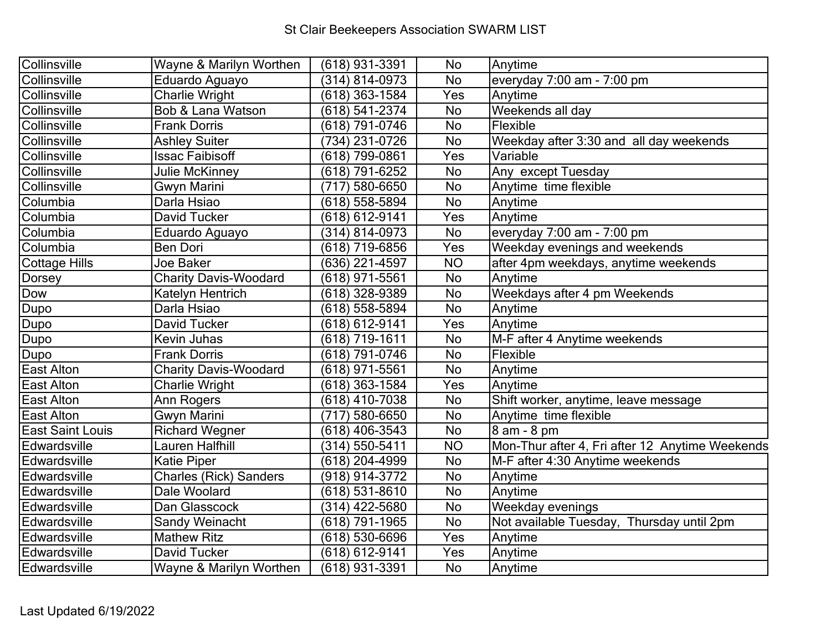| Collinsville            | Wayne & Marilyn Worthen       | (618) 931-3391 | <b>No</b> | Anytime                                         |
|-------------------------|-------------------------------|----------------|-----------|-------------------------------------------------|
| Collinsville            | Eduardo Aguayo                | (314) 814-0973 | <b>No</b> | everyday 7:00 am - 7:00 pm                      |
| Collinsville            | <b>Charlie Wright</b>         | (618) 363-1584 | Yes       | Anytime                                         |
| Collinsville            | Bob & Lana Watson             | (618) 541-2374 | <b>No</b> | Weekends all day                                |
| Collinsville            | <b>Frank Dorris</b>           | (618) 791-0746 | <b>No</b> | Flexible                                        |
| Collinsville            | <b>Ashley Suiter</b>          | (734) 231-0726 | No        | Weekday after 3:30 and all day weekends         |
| Collinsville            | <b>Issac Faibisoff</b>        | (618) 799-0861 | Yes       | Variable                                        |
| Collinsville            | Julie McKinney                | (618) 791-6252 | <b>No</b> | Any except Tuesday                              |
| Collinsville            | Gwyn Marini                   | (717) 580-6650 | <b>No</b> | Anytime time flexible                           |
| Columbia                | Darla Hsiao                   | (618) 558-5894 | <b>No</b> | Anytime                                         |
| Columbia                | David Tucker                  | (618) 612-9141 | Yes       | Anytime                                         |
| Columbia                | Eduardo Aguayo                | (314) 814-0973 | <b>No</b> | everyday 7:00 am - 7:00 pm                      |
| Columbia                | <b>Ben Dori</b>               | (618) 719-6856 | Yes       | Weekday evenings and weekends                   |
| <b>Cottage Hills</b>    | Joe Baker                     | (636) 221-4597 | <b>NO</b> | after 4pm weekdays, anytime weekends            |
| Dorsey                  | Charity Davis-Woodard         | (618) 971-5561 | <b>No</b> | Anytime                                         |
| Dow                     | Katelyn Hentrich              | (618) 328-9389 | <b>No</b> | Weekdays after 4 pm Weekends                    |
| Dupo                    | Darla Hsiao                   | (618) 558-5894 | <b>No</b> | Anytime                                         |
| Dupo                    | David Tucker                  | (618) 612-9141 | Yes       | Anytime                                         |
| Dupo                    | Kevin Juhas                   | (618) 719-1611 | <b>No</b> | M-F after 4 Anytime weekends                    |
| Dupo                    | <b>Frank Dorris</b>           | (618) 791-0746 | <b>No</b> | Flexible                                        |
| <b>East Alton</b>       | <b>Charity Davis-Woodard</b>  | (618) 971-5561 | <b>No</b> | Anytime                                         |
| <b>East Alton</b>       | <b>Charlie Wright</b>         | (618) 363-1584 | Yes       | Anytime                                         |
| <b>East Alton</b>       | Ann Rogers                    | (618) 410-7038 | <b>No</b> | Shift worker, anytime, leave message            |
| <b>East Alton</b>       | Gwyn Marini                   | (717) 580-6650 | <b>No</b> | Anytime time flexible                           |
| <b>East Saint Louis</b> | <b>Richard Wegner</b>         | (618) 406-3543 | No        | 8 am - 8 pm                                     |
| Edwardsville            | Lauren Halfhill               | (314) 550-5411 | <b>NO</b> | Mon-Thur after 4, Fri after 12 Anytime Weekends |
| Edwardsville            | <b>Katie Piper</b>            | (618) 204-4999 | <b>No</b> | M-F after 4:30 Anytime weekends                 |
| Edwardsville            | <b>Charles (Rick) Sanders</b> | (918) 914-3772 | <b>No</b> | Anytime                                         |
| Edwardsville            | Dale Woolard                  | (618) 531-8610 | <b>No</b> | Anytime                                         |
| Edwardsville            | Dan Glasscock                 | (314) 422-5680 | <b>No</b> | Weekday evenings                                |
| Edwardsville            | Sandy Weinacht                | (618) 791-1965 | <b>No</b> | Not available Tuesday, Thursday until 2pm       |
| Edwardsville            | <b>Mathew Ritz</b>            | (618) 530-6696 | Yes       | Anytime                                         |
| Edwardsville            | David Tucker                  | (618) 612-9141 | Yes       | Anytime                                         |
| Edwardsville            | Wayne & Marilyn Worthen       | (618) 931-3391 | <b>No</b> | Anytime                                         |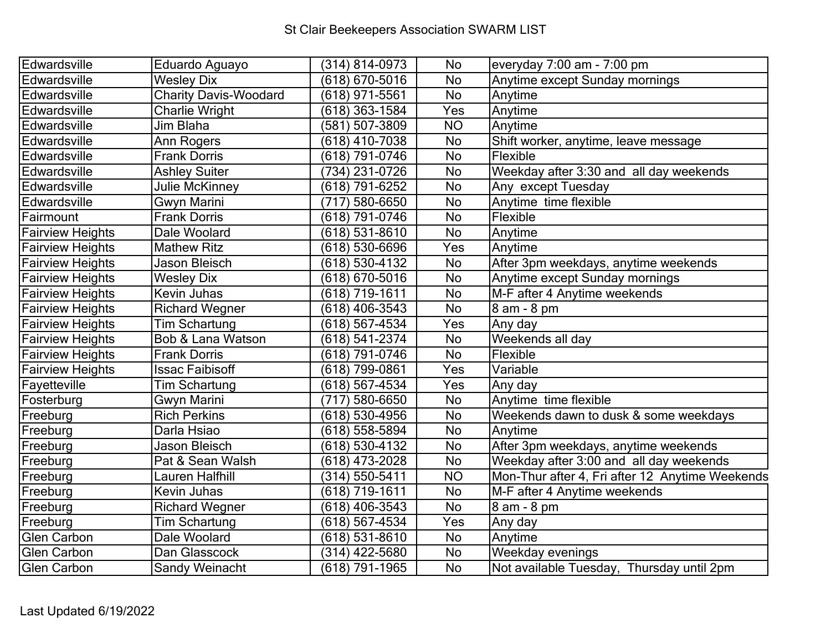| Edwardsville            | Eduardo Aguayo               | (314) 814-0973 | <b>No</b> | everyday 7:00 am - 7:00 pm                      |
|-------------------------|------------------------------|----------------|-----------|-------------------------------------------------|
| Edwardsville            | <b>Wesley Dix</b>            | (618) 670-5016 | <b>No</b> | Anytime except Sunday mornings                  |
| Edwardsville            | <b>Charity Davis-Woodard</b> | (618) 971-5561 | <b>No</b> | Anytime                                         |
| Edwardsville            | <b>Charlie Wright</b>        | (618) 363-1584 | Yes       | Anytime                                         |
| Edwardsville            | Jim Blaha                    | (581) 507-3809 | <b>NO</b> | Anytime                                         |
| Edwardsville            | Ann Rogers                   | (618) 410-7038 | <b>No</b> | Shift worker, anytime, leave message            |
| <b>Edwardsville</b>     | <b>Frank Dorris</b>          | (618) 791-0746 | <b>No</b> | Flexible                                        |
| Edwardsville            | <b>Ashley Suiter</b>         | (734) 231-0726 | <b>No</b> | Weekday after 3:30 and all day weekends         |
| Edwardsville            | Julie McKinney               | (618) 791-6252 | <b>No</b> | Any except Tuesday                              |
| Edwardsville            | Gwyn Marini                  | (717) 580-6650 | <b>No</b> | Anytime time flexible                           |
| Fairmount               | <b>Frank Dorris</b>          | (618) 791-0746 | <b>No</b> | Flexible                                        |
| <b>Fairview Heights</b> | Dale Woolard                 | (618) 531-8610 | <b>No</b> | Anytime                                         |
| <b>Fairview Heights</b> | <b>Mathew Ritz</b>           | (618) 530-6696 | Yes       | Anytime                                         |
| <b>Fairview Heights</b> | Jason Bleisch                | (618) 530-4132 | <b>No</b> | After 3pm weekdays, anytime weekends            |
| <b>Fairview Heights</b> | <b>Wesley Dix</b>            | (618) 670-5016 | <b>No</b> | Anytime except Sunday mornings                  |
| <b>Fairview Heights</b> | Kevin Juhas                  | (618) 719-1611 | <b>No</b> | M-F after 4 Anytime weekends                    |
| Fairview Heights        | <b>Richard Wegner</b>        | (618) 406-3543 | <b>No</b> | 8 am - 8 pm                                     |
| <b>Fairview Heights</b> | <b>Tim Schartung</b>         | (618) 567-4534 | Yes       | Any day                                         |
| <b>Fairview Heights</b> | <b>Bob &amp; Lana Watson</b> | (618) 541-2374 | <b>No</b> | Weekends all day                                |
| <b>Fairview Heights</b> | <b>Frank Dorris</b>          | (618) 791-0746 | <b>No</b> | Flexible                                        |
| <b>Fairview Heights</b> | <b>Issac Faibisoff</b>       | (618) 799-0861 | Yes       | Variable                                        |
| Fayetteville            | Tim Schartung                | (618) 567-4534 | Yes       | Any day                                         |
| Fosterburg              | Gwyn Marini                  | (717) 580-6650 | <b>No</b> | Anytime time flexible                           |
| Freeburg                | <b>Rich Perkins</b>          | (618) 530-4956 | <b>No</b> | Weekends dawn to dusk & some weekdays           |
| Freeburg                | Darla Hsiao                  | (618) 558-5894 | <b>No</b> | Anytime                                         |
| Freeburg                | Jason Bleisch                | (618) 530-4132 | <b>No</b> | After 3pm weekdays, anytime weekends            |
| Freeburg                | Pat & Sean Walsh             | (618) 473-2028 | <b>No</b> | Weekday after 3:00 and all day weekends         |
| Freeburg                | Lauren Halfhill              | (314) 550-5411 | <b>NO</b> | Mon-Thur after 4, Fri after 12 Anytime Weekends |
| Freeburg                | Kevin Juhas                  | (618) 719-1611 | <b>No</b> | M-F after 4 Anytime weekends                    |
| Freeburg                | <b>Richard Wegner</b>        | (618) 406-3543 | <b>No</b> | 8 am - 8 pm                                     |
| Freeburg                | <b>Tim Schartung</b>         | (618) 567-4534 | Yes       | Any day                                         |
| <b>Glen Carbon</b>      | Dale Woolard                 | (618) 531-8610 | <b>No</b> | Anytime                                         |
| <b>Glen Carbon</b>      | Dan Glasscock                | (314) 422-5680 | No        | Weekday evenings                                |
| <b>Glen Carbon</b>      | Sandy Weinacht               | (618) 791-1965 | <b>No</b> | Not available Tuesday, Thursday until 2pm       |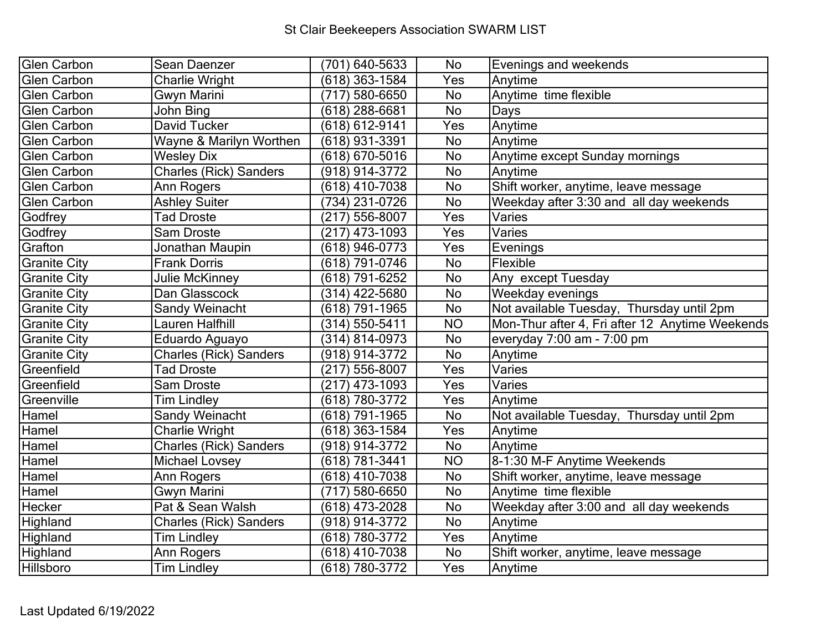| Glen Carbon         | Sean Daenzer                  | (701) 640-5633 | <b>No</b>      | Evenings and weekends                           |
|---------------------|-------------------------------|----------------|----------------|-------------------------------------------------|
| <b>Glen Carbon</b>  | <b>Charlie Wright</b>         | (618) 363-1584 | Yes            | Anytime                                         |
| <b>Glen Carbon</b>  | Gwyn Marini                   | (717) 580-6650 | <b>No</b>      | Anytime time flexible                           |
| <b>Glen Carbon</b>  | John Bing                     | (618) 288-6681 | No             | Days                                            |
| <b>Glen Carbon</b>  | <b>David Tucker</b>           | (618) 612-9141 | Yes            | Anytime                                         |
| <b>Glen Carbon</b>  | Wayne & Marilyn Worthen       | (618) 931-3391 | <b>No</b>      | Anytime                                         |
| <b>Glen Carbon</b>  | <b>Wesley Dix</b>             | (618) 670-5016 | <b>No</b>      | Anytime except Sunday mornings                  |
| <b>Glen Carbon</b>  | <b>Charles (Rick) Sanders</b> | (918) 914-3772 | $\overline{N}$ | Anytime                                         |
| <b>Glen Carbon</b>  | <b>Ann Rogers</b>             | (618) 410-7038 | <b>No</b>      | Shift worker, anytime, leave message            |
| <b>Glen Carbon</b>  | <b>Ashley Suiter</b>          | (734) 231-0726 | No             | Weekday after 3:30 and all day weekends         |
| Godfrey             | <b>Tad Droste</b>             | (217) 556-8007 | Yes            | Varies                                          |
| Godfrey             | Sam Droste                    | (217) 473-1093 | Yes            | Varies                                          |
| Grafton             | Jonathan Maupin               | (618) 946-0773 | Yes            | Evenings                                        |
| <b>Granite City</b> | <b>Frank Dorris</b>           | (618) 791-0746 | <b>No</b>      | Flexible                                        |
| <b>Granite City</b> | <b>Julie McKinney</b>         | (618) 791-6252 | <b>No</b>      | Any except Tuesday                              |
| <b>Granite City</b> | Dan Glasscock                 | (314) 422-5680 | No             | Weekday evenings                                |
| <b>Granite City</b> | Sandy Weinacht                | (618) 791-1965 | <b>No</b>      | Not available Tuesday, Thursday until 2pm       |
| <b>Granite City</b> | Lauren Halfhill               | (314) 550-5411 | <b>NO</b>      | Mon-Thur after 4, Fri after 12 Anytime Weekends |
| <b>Granite City</b> | Eduardo Aguayo                | (314) 814-0973 | <b>No</b>      | everyday 7:00 am - 7:00 pm                      |
| <b>Granite City</b> | <b>Charles (Rick) Sanders</b> | (918) 914-3772 | <b>No</b>      | Anytime                                         |
| Greenfield          | <b>Tad Droste</b>             | (217) 556-8007 | Yes            | Varies                                          |
| Greenfield          | Sam Droste                    | (217) 473-1093 | Yes            | Varies                                          |
| Greenville          | <b>Tim Lindley</b>            | (618) 780-3772 | Yes            | Anytime                                         |
| Hamel               | Sandy Weinacht                | (618) 791-1965 | <b>No</b>      | Not available Tuesday, Thursday until 2pm       |
| Hamel               | <b>Charlie Wright</b>         | (618) 363-1584 | Yes            | Anytime                                         |
| Hamel               | <b>Charles (Rick) Sanders</b> | (918) 914-3772 | No             | Anytime                                         |
| Hamel               | Michael Lovsey                | (618) 781-3441 | <b>NO</b>      | 8-1:30 M-F Anytime Weekends                     |
| Hamel               | Ann Rogers                    | (618) 410-7038 | <b>No</b>      | Shift worker, anytime, leave message            |
| Hamel               | Gwyn Marini                   | (717) 580-6650 | <b>No</b>      | Anytime time flexible                           |
| Hecker              | Pat & Sean Walsh              | (618) 473-2028 | <b>No</b>      | Weekday after 3:00 and all day weekends         |
| Highland            | <b>Charles (Rick) Sanders</b> | (918) 914-3772 | <b>No</b>      | Anytime                                         |
| Highland            | <b>Tim Lindley</b>            | (618) 780-3772 | Yes            | Anytime                                         |
| Highland            | Ann Rogers                    | (618) 410-7038 | No             | Shift worker, anytime, leave message            |
| <b>Hillsboro</b>    | <b>Tim Lindley</b>            | (618) 780-3772 | Yes            | Anytime                                         |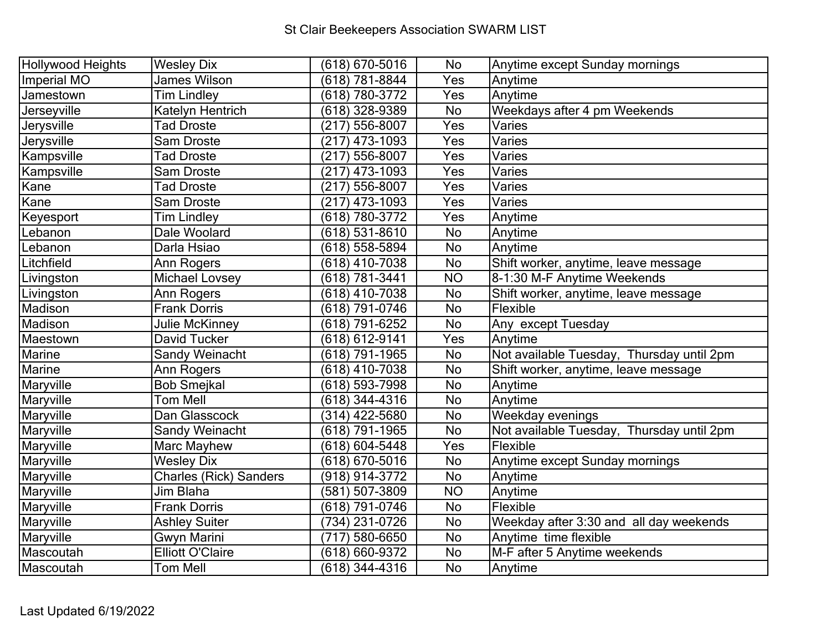| <b>Hollywood Heights</b> | <b>Wesley Dix</b>             | (618) 670-5016 | <b>No</b> | Anytime except Sunday mornings            |
|--------------------------|-------------------------------|----------------|-----------|-------------------------------------------|
| Imperial MO              | <b>James Wilson</b>           | (618) 781-8844 | Yes       | Anytime                                   |
| Jamestown                | <b>Tim Lindley</b>            | (618) 780-3772 | Yes       | Anytime                                   |
| Jerseyville              | Katelyn Hentrich              | (618) 328-9389 | <b>No</b> | Weekdays after 4 pm Weekends              |
| Jerysville               | <b>Tad Droste</b>             | (217) 556-8007 | Yes       | Varies                                    |
| Jerysville               | Sam Droste                    | (217) 473-1093 | Yes       | Varies                                    |
| Kampsville               | <b>Tad Droste</b>             | (217) 556-8007 | Yes       | Varies                                    |
| Kampsville               | Sam Droste                    | (217) 473-1093 | Yes       | Varies                                    |
| Kane                     | <b>Tad Droste</b>             | (217) 556-8007 | Yes       | Varies                                    |
| Kane                     | Sam Droste                    | (217) 473-1093 | Yes       | Varies                                    |
| Keyesport                | <b>Tim Lindley</b>            | (618) 780-3772 | Yes       | Anytime                                   |
| _ebanon                  | Dale Woolard                  | (618) 531-8610 | <b>No</b> | Anytime                                   |
| _ebanon                  | Darla Hsiao                   | (618) 558-5894 | No        | Anytime                                   |
| Litchfield               | Ann Rogers                    | (618) 410-7038 | <b>No</b> | Shift worker, anytime, leave message      |
| Livingston               | Michael Lovsey                | (618) 781-3441 | <b>NO</b> | 8-1:30 M-F Anytime Weekends               |
| Livingston               | Ann Rogers                    | (618) 410-7038 | No        | Shift worker, anytime, leave message      |
| Madison                  | <b>Frank Dorris</b>           | (618) 791-0746 | No        | Flexible                                  |
| Madison                  | <b>Julie McKinney</b>         | (618) 791-6252 | <b>No</b> | Any except Tuesday                        |
| Maestown                 | David Tucker                  | (618) 612-9141 | Yes       | Anytime                                   |
| <b>Marine</b>            | Sandy Weinacht                | (618) 791-1965 | <b>No</b> | Not available Tuesday, Thursday until 2pm |
| Marine                   | Ann Rogers                    | (618) 410-7038 | <b>No</b> | Shift worker, anytime, leave message      |
| Maryville                | <b>Bob Smejkal</b>            | (618) 593-7998 | <b>No</b> | Anytime                                   |
| Maryville                | <b>Tom Mell</b>               | (618) 344-4316 | <b>No</b> | Anytime                                   |
| Maryville                | Dan Glasscock                 | (314) 422-5680 | No        | Weekday evenings                          |
| Maryville                | Sandy Weinacht                | (618) 791-1965 | <b>No</b> | Not available Tuesday, Thursday until 2pm |
| Maryville                | Marc Mayhew                   | (618) 604-5448 | Yes       | Flexible                                  |
| Maryville                | <b>Wesley Dix</b>             | (618) 670-5016 | <b>No</b> | Anytime except Sunday mornings            |
| Maryville                | <b>Charles (Rick) Sanders</b> | (918) 914-3772 | No        | Anytime                                   |
| Maryville                | Jim Blaha                     | (581) 507-3809 | <b>NO</b> | Anytime                                   |
| Maryville                | <b>Frank Dorris</b>           | (618) 791-0746 | <b>No</b> | Flexible                                  |
| Maryville                | <b>Ashley Suiter</b>          | (734) 231-0726 | <b>No</b> | Weekday after 3:30 and all day weekends   |
| Maryville                | Gwyn Marini                   | (717) 580-6650 | No        | Anytime time flexible                     |
| Mascoutah                | <b>Elliott O'Claire</b>       | (618) 660-9372 | <b>No</b> | M-F after 5 Anytime weekends              |
| Mascoutah                | <b>Tom Mell</b>               | (618) 344-4316 | No        | Anytime                                   |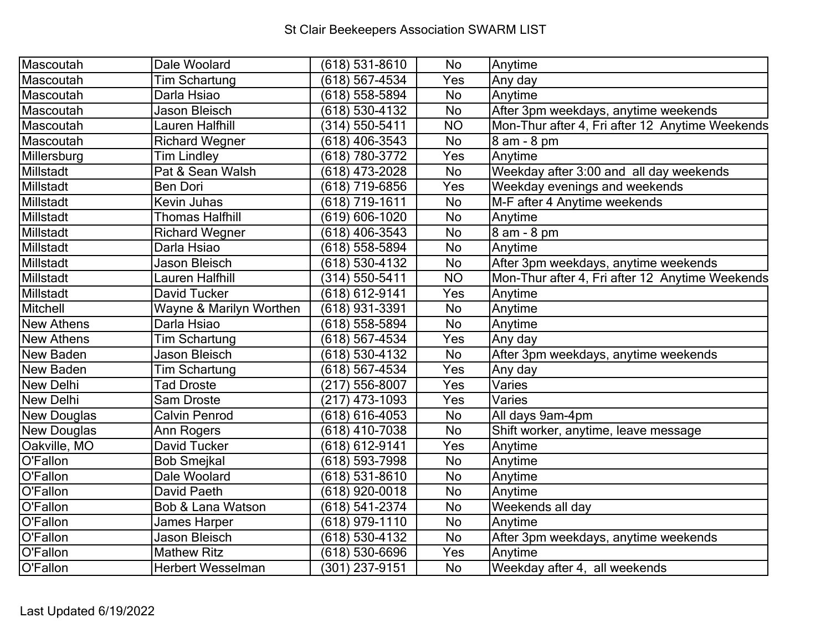| Mascoutah          | Dale Woolard             | $(618) 531 - 8610$ | <b>No</b>         | Anytime                                         |
|--------------------|--------------------------|--------------------|-------------------|-------------------------------------------------|
| Mascoutah          | <b>Tim Schartung</b>     | (618) 567-4534     | Yes               | Any day                                         |
| Mascoutah          | Darla Hsiao              | (618) 558-5894     | <b>No</b>         | Anytime                                         |
| Mascoutah          | Jason Bleisch            | (618) 530-4132     | No                | After 3pm weekdays, anytime weekends            |
| Mascoutah          | Lauren Halfhill          | (314) 550-5411     | N <sub>O</sub>    | Mon-Thur after 4, Fri after 12 Anytime Weekends |
| Mascoutah          | <b>Richard Wegner</b>    | (618) 406-3543     | <b>No</b>         | 8 am - 8 pm                                     |
| Millersburg        | <b>Tim Lindley</b>       | (618) 780-3772     | Yes               | Anytime                                         |
| Millstadt          | Pat & Sean Walsh         | (618) 473-2028     | <b>No</b>         | Weekday after 3:00 and all day weekends         |
| <b>Millstadt</b>   | <b>Ben Dori</b>          | (618) 719-6856     | Yes               | Weekday evenings and weekends                   |
| Millstadt          | Kevin Juhas              | (618) 719-1611     | <b>No</b>         | M-F after 4 Anytime weekends                    |
| Millstadt          | <b>Thomas Halfhill</b>   | (619) 606-1020     | <b>No</b>         | Anytime                                         |
| Millstadt          | <b>Richard Wegner</b>    | (618) 406-3543     | <b>No</b>         | $8$ am - $8$ pm                                 |
| Millstadt          | Darla Hsiao              | (618) 558-5894     | <b>No</b>         | Anytime                                         |
| Millstadt          | Jason Bleisch            | (618) 530-4132     | <b>No</b>         | After 3pm weekdays, anytime weekends            |
| Millstadt          | Lauren Halfhill          | (314) 550-5411     | <b>NO</b>         | Mon-Thur after 4, Fri after 12 Anytime Weekends |
| Millstadt          | David Tucker             | (618) 612-9141     | Yes               | Anytime                                         |
| Mitchell           | Wayne & Marilyn Worthen  | (618) 931-3391     | <b>No</b>         | Anytime                                         |
| <b>New Athens</b>  | Darla Hsiao              | (618) 558-5894     | <b>No</b>         | Anytime                                         |
| New Athens         | Tim Schartung            | (618) 567-4534     | $\overline{Y}$ es | Any day                                         |
| <b>New Baden</b>   | Jason Bleisch            | (618) 530-4132     | <b>No</b>         | After 3pm weekdays, anytime weekends            |
| <b>New Baden</b>   | Tim Schartung            | (618) 567-4534     | Yes               | Any day                                         |
| <b>New Delhi</b>   | <b>Tad Droste</b>        | (217) 556-8007     | Yes               | Varies                                          |
| <b>New Delhi</b>   | Sam Droste               | (217) 473-1093     | Yes               | Varies                                          |
| <b>New Douglas</b> | <b>Calvin Penrod</b>     | $(618) 616 - 4053$ | <b>No</b>         | All days 9am-4pm                                |
| <b>New Douglas</b> | <b>Ann Rogers</b>        | (618) 410-7038     | <b>No</b>         | Shift worker, anytime, leave message            |
| Oakville, MO       | David Tucker             | $(618) 612 - 9141$ | Yes               | Anytime                                         |
| O'Fallon           | <b>Bob Smejkal</b>       | (618) 593-7998     | <b>No</b>         | Anytime                                         |
| O'Fallon           | Dale Woolard             | (618) 531-8610     | No                | Anytime                                         |
| O'Fallon           | David Paeth              | $(618)$ 920-0018   | <b>No</b>         | Anytime                                         |
| O'Fallon           | Bob & Lana Watson        | $(618) 541 - 2374$ | <b>No</b>         | Weekends all day                                |
| O'Fallon           | James Harper             | $(618)$ 979-1110   | <b>No</b>         | Anytime                                         |
| O'Fallon           | Jason Bleisch            | (618) 530-4132     | <b>No</b>         | After 3pm weekdays, anytime weekends            |
| O'Fallon           | <b>Mathew Ritz</b>       | (618) 530-6696     | Yes               | Anytime                                         |
| O'Fallon           | <b>Herbert Wesselman</b> | (301) 237-9151     | <b>No</b>         | Weekday after 4, all weekends                   |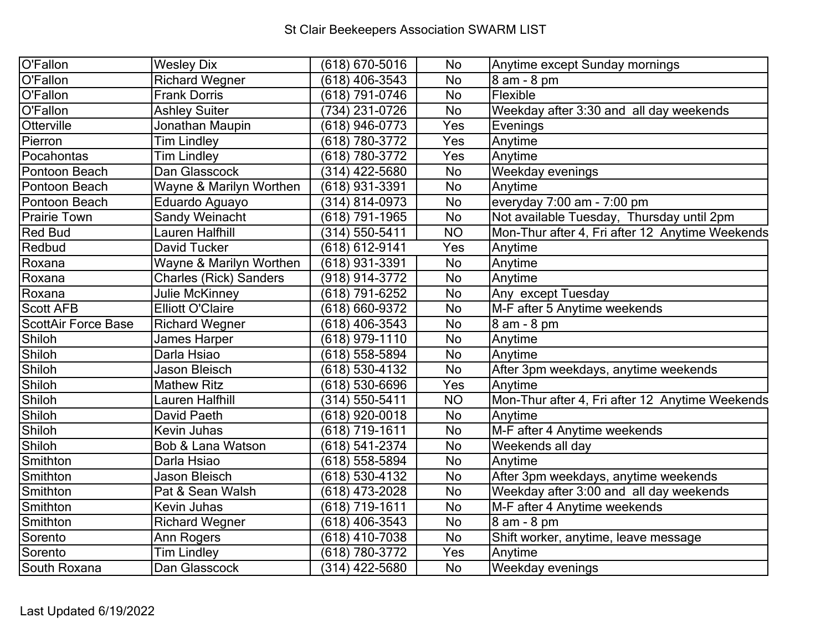| O'Fallon                   | <b>Wesley Dix</b>             | (618) 670-5016     | <b>No</b> | Anytime except Sunday mornings                  |
|----------------------------|-------------------------------|--------------------|-----------|-------------------------------------------------|
| O'Fallon                   | <b>Richard Wegner</b>         | (618) 406-3543     | <b>No</b> | 8 am - 8 pm                                     |
| O'Fallon                   | <b>Frank Dorris</b>           | (618) 791-0746     | <b>No</b> | Flexible                                        |
| O'Fallon                   | <b>Ashley Suiter</b>          | (734) 231-0726     | <b>No</b> | Weekday after 3:30 and all day weekends         |
| Otterville                 | Jonathan Maupin               | (618) 946-0773     | Yes       | Evenings                                        |
| Pierron                    | <b>Tim Lindley</b>            | (618) 780-3772     | Yes       | Anytime                                         |
| Pocahontas                 | <b>Tim Lindley</b>            | (618) 780-3772     | Yes       | Anytime                                         |
| Pontoon Beach              | Dan Glasscock                 | (314) 422-5680     | <b>No</b> | Weekday evenings                                |
| Pontoon Beach              | Wayne & Marilyn Worthen       | (618) 931-3391     | <b>No</b> | Anytime                                         |
| Pontoon Beach              | Eduardo Aguayo                | (314) 814-0973     | <b>No</b> | everyday 7:00 am - 7:00 pm                      |
| <b>Prairie Town</b>        | Sandy Weinacht                | (618) 791-1965     | <b>No</b> | Not available Tuesday, Thursday until 2pm       |
| <b>Red Bud</b>             | Lauren Halfhill               | (314) 550-5411     | <b>NO</b> | Mon-Thur after 4, Fri after 12 Anytime Weekends |
| Redbud                     | David Tucker                  | $(618) 612 - 9141$ | Yes       | Anytime                                         |
| Roxana                     | Wayne & Marilyn Worthen       | (618) 931-3391     | <b>No</b> | Anytime                                         |
| Roxana                     | <b>Charles (Rick) Sanders</b> | (918) 914-3772     | <b>No</b> | Anytime                                         |
| Roxana                     | Julie McKinney                | (618) 791-6252     | No        | Any except Tuesday                              |
| <b>Scott AFB</b>           | <b>Elliott O'Claire</b>       | (618) 660-9372     | <b>No</b> | M-F after 5 Anytime weekends                    |
| <b>ScottAir Force Base</b> | <b>Richard Wegner</b>         | (618) 406-3543     | <b>No</b> | 8 am - 8 pm                                     |
| Shiloh                     | James Harper                  | (618) 979-1110     | <b>No</b> | Anytime                                         |
| Shiloh                     | Darla Hsiao                   | (618) 558-5894     | No        | Anytime                                         |
| Shiloh                     | Jason Bleisch                 | (618) 530-4132     | <b>No</b> | After 3pm weekdays, anytime weekends            |
| Shiloh                     | <b>Mathew Ritz</b>            | (618) 530-6696     | Yes       | Anytime                                         |
| Shiloh                     | Lauren Halfhill               | (314) 550-5411     | <b>NO</b> | Mon-Thur after 4, Fri after 12 Anytime Weekends |
| Shiloh                     | David Paeth                   | (618) 920-0018     | <b>No</b> | Anytime                                         |
| Shiloh                     | Kevin Juhas                   | (618) 719-1611     | No        | M-F after 4 Anytime weekends                    |
| Shiloh                     | Bob & Lana Watson             | (618) 541-2374     | <b>No</b> | Weekends all day                                |
| Smithton                   | Darla Hsiao                   | (618) 558-5894     | <b>No</b> | Anytime                                         |
| Smithton                   | Jason Bleisch                 | (618) 530-4132     | <b>No</b> | After 3pm weekdays, anytime weekends            |
| Smithton                   | Pat & Sean Walsh              | (618) 473-2028     | <b>No</b> | Weekday after 3:00 and all day weekends         |
| Smithton                   | Kevin Juhas                   | (618) 719-1611     | <b>No</b> | M-F after 4 Anytime weekends                    |
| Smithton                   | <b>Richard Wegner</b>         | (618) 406-3543     | <b>No</b> | 8 am - 8 pm                                     |
| Sorento                    | Ann Rogers                    | (618) 410-7038     | <b>No</b> | Shift worker, anytime, leave message            |
| Sorento                    | <b>Tim Lindley</b>            | (618) 780-3772     | Yes       | Anytime                                         |
| South Roxana               | Dan Glasscock                 | (314) 422-5680     | <b>No</b> | Weekday evenings                                |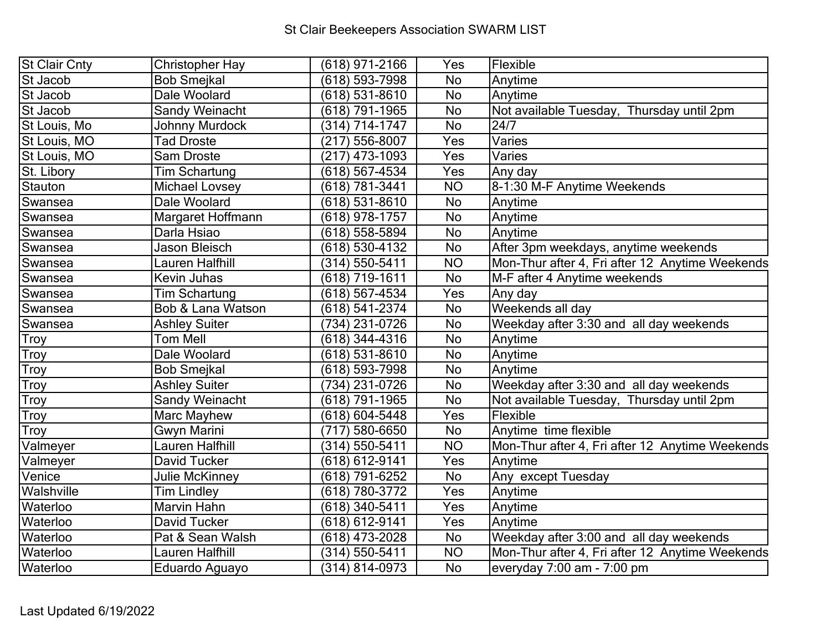| St Clair Cnty | <b>Christopher Hay</b> | (618) 971-2166     | Yes       | Flexible                                        |
|---------------|------------------------|--------------------|-----------|-------------------------------------------------|
| St Jacob      | <b>Bob Smejkal</b>     | (618) 593-7998     | <b>No</b> | Anytime                                         |
| St Jacob      | Dale Woolard           | $(618) 531 - 8610$ | <b>No</b> | Anytime                                         |
| St Jacob      | Sandy Weinacht         | (618) 791-1965     | <b>No</b> | Not available Tuesday, Thursday until 2pm       |
| St Louis, Mo  | Johnny Murdock         | (314) 714-1747     | No        | 24/7                                            |
| St Louis, MO  | <b>Tad Droste</b>      | (217) 556-8007     | Yes       | Varies                                          |
| St Louis, MO  | Sam Droste             | (217) 473-1093     | Yes       | Varies                                          |
| St. Libory    | <b>Tim Schartung</b>   | (618) 567-4534     | Yes       | Any day                                         |
| Stauton       | Michael Lovsey         | (618) 781-3441     | <b>NO</b> | 8-1:30 M-F Anytime Weekends                     |
| Swansea       | Dale Woolard           | (618) 531-8610     | <b>No</b> | Anytime                                         |
| Swansea       | Margaret Hoffmann      | (618) 978-1757     | <b>No</b> | Anytime                                         |
| Swansea       | Darla Hsiao            | (618) 558-5894     | <b>No</b> | Anytime                                         |
| Swansea       | Jason Bleisch          | (618) 530-4132     | <b>No</b> | After 3pm weekdays, anytime weekends            |
| Swansea       | Lauren Halfhill        | (314) 550-5411     | <b>NO</b> | Mon-Thur after 4, Fri after 12 Anytime Weekends |
| Swansea       | Kevin Juhas            | (618) 719-1611     | <b>No</b> | M-F after 4 Anytime weekends                    |
| Swansea       | <b>Tim Schartung</b>   | (618) 567-4534     | Yes       | Any day                                         |
| Swansea       | Bob & Lana Watson      | (618) 541-2374     | <b>No</b> | Weekends all day                                |
| Swansea       | <b>Ashley Suiter</b>   | (734) 231-0726     | <b>No</b> | Weekday after 3:30 and all day weekends         |
| <b>Troy</b>   | <b>Tom Mell</b>        | (618) 344-4316     | <b>No</b> | Anytime                                         |
| Troy          | Dale Woolard           | (618) 531-8610     | <b>No</b> | Anytime                                         |
| <b>Troy</b>   | <b>Bob Smejkal</b>     | (618) 593-7998     | No        | Anytime                                         |
| Troy          | <b>Ashley Suiter</b>   | (734) 231-0726     | <b>No</b> | Weekday after 3:30 and all day weekends         |
| Troy          | Sandy Weinacht         | (618) 791-1965     | <b>No</b> | Not available Tuesday, Thursday until 2pm       |
| Troy          | Marc Mayhew            | (618) 604-5448     | Yes       | Flexible                                        |
| <b>Troy</b>   | Gwyn Marini            | (717) 580-6650     | <b>No</b> | Anytime time flexible                           |
| Valmeyer      | Lauren Halfhill        | (314) 550-5411     | <b>NO</b> | Mon-Thur after 4, Fri after 12 Anytime Weekends |
| Valmeyer      | David Tucker           | (618) 612-9141     | Yes       | Anytime                                         |
| Venice        | Julie McKinney         | (618) 791-6252     | <b>No</b> | Any except Tuesday                              |
| Walshville    | <b>Tim Lindley</b>     | (618) 780-3772     | Yes       | Anytime                                         |
| Waterloo      | Marvin Hahn            | (618) 340-5411     | Yes       | Anytime                                         |
| Waterloo      | David Tucker           | (618) 612-9141     | Yes       | Anytime                                         |
| Waterloo      | Pat & Sean Walsh       | (618) 473-2028     | No        | Weekday after 3:00 and all day weekends         |
| Waterloo      | Lauren Halfhill        | (314) 550-5411     | <b>NO</b> | Mon-Thur after 4, Fri after 12 Anytime Weekends |
| Waterloo      | Eduardo Aguayo         | (314) 814-0973     | <b>No</b> | everyday 7:00 am - 7:00 pm                      |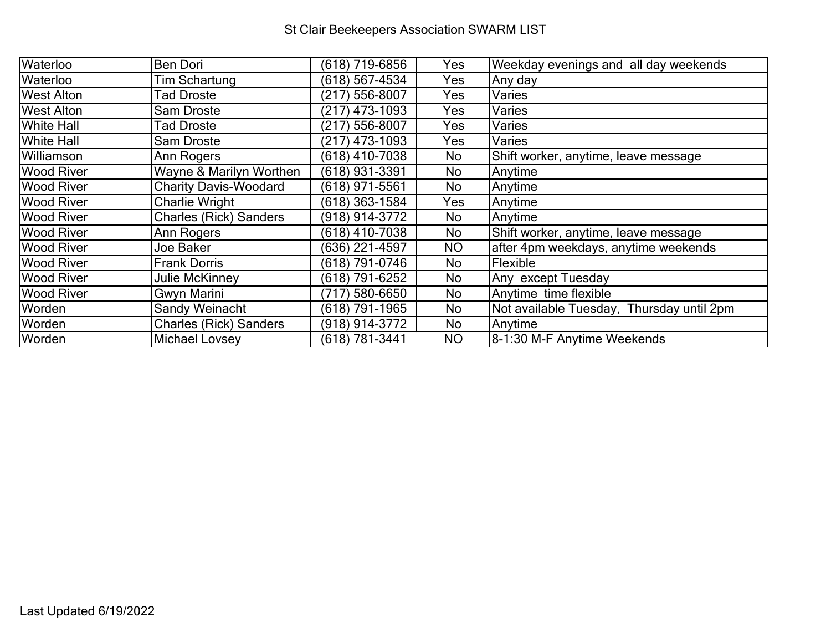| <b>Waterloo</b>   | Ben Dori                      | (618) 719-6856 | Yes       | Weekday evenings and all day weekends     |
|-------------------|-------------------------------|----------------|-----------|-------------------------------------------|
| <b>Waterloo</b>   | <b>Tim Schartung</b>          | (618) 567-4534 | Yes       | Any day                                   |
| <b>West Alton</b> | <b>Tad Droste</b>             | (217) 556-8007 | Yes       | Varies                                    |
| <b>West Alton</b> | Sam Droste                    | (217) 473-1093 | Yes       | Varies                                    |
| <b>White Hall</b> | Tad Droste                    | (217) 556-8007 | Yes       | Varies                                    |
| White Hall        | Sam Droste                    | (217) 473-1093 | Yes       | Varies                                    |
| Williamson        | Ann Rogers                    | (618) 410-7038 | No        | Shift worker, anytime, leave message      |
| Wood River        | Wayne & Marilyn Worthen       | (618) 931-3391 | No        | Anytime                                   |
| Wood River        | <b>Charity Davis-Woodard</b>  | (618) 971-5561 | No        | Anytime                                   |
| <b>Wood River</b> | <b>Charlie Wright</b>         | (618) 363-1584 | Yes       | Anytime                                   |
| <b>Wood River</b> | <b>Charles (Rick) Sanders</b> | (918) 914-3772 | No        | Anytime                                   |
| Wood River        | Ann Rogers                    | (618) 410-7038 | No        | Shift worker, anytime, leave message      |
| Wood River        | Joe Baker                     | (636) 221-4597 | <b>NO</b> | after 4pm weekdays, anytime weekends      |
| Wood River        | <b>Frank Dorris</b>           | (618) 791-0746 | No        | Flexible                                  |
| Wood River        | Julie McKinney                | (618) 791-6252 | No        | Any except Tuesday                        |
| <b>Wood River</b> | Gwyn Marini                   | (717) 580-6650 | No        | Anytime time flexible                     |
| Worden            | <b>Sandy Weinacht</b>         | (618) 791-1965 | No        | Not available Tuesday, Thursday until 2pm |
| Worden            | <b>Charles (Rick) Sanders</b> | (918) 914-3772 | No        | Anytime                                   |
| <b>Worden</b>     | Michael Lovsey                | (618) 781-3441 | <b>NO</b> | 8-1:30 M-F Anytime Weekends               |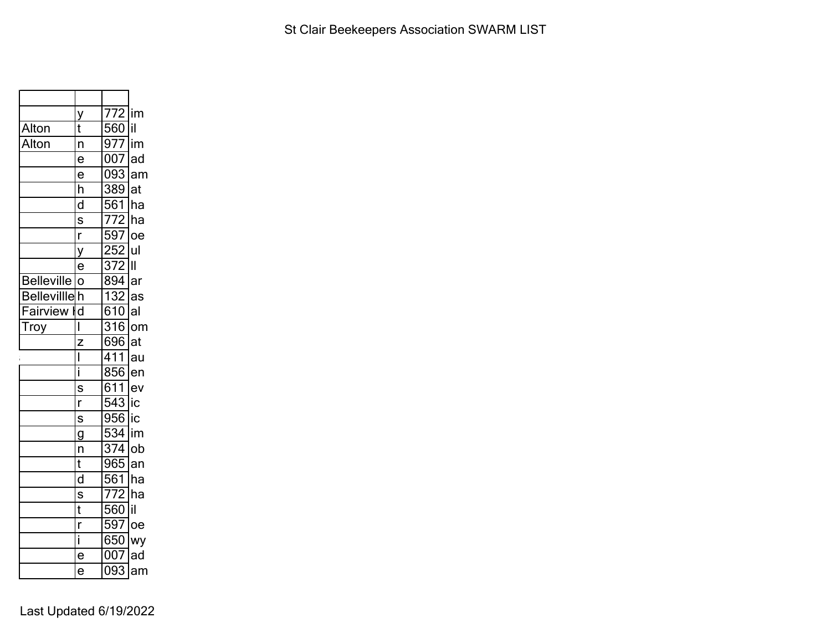St Clair Beekeepers Association SWARM LIST

|     | 772 im<br>y                         |                      |
|-----|-------------------------------------|----------------------|
|     | $560$  il<br>$\mathbf t$            | Alton                |
|     | $\overline{977}$ im<br>n            | Alton                |
| ad  | 007<br>e                            |                      |
|     | $\overline{093}$ am<br>e            |                      |
| at  | 389                                 |                      |
| ha  | 561<br>$\mathsf{d}$                 |                      |
|     | $\overline{772}$ ha<br>s            |                      |
| oe  | 597<br>r                            |                      |
|     | $252$ ul<br>y                       |                      |
|     | $372$ II<br>$\ddot{e}$              |                      |
|     | $894$ ar                            | Belleville o         |
| as  | 132                                 | <b>Bellevillle</b> h |
|     | $610$ al<br>$\overline{\mathsf{d}}$ | Fairview             |
| om  | 316                                 | <b>Troy</b>          |
| lat | 696<br>Z                            |                      |
| au  | $\overline{411}$                    |                      |
| en  | 856<br>i                            |                      |
| ev  | 611<br>s                            |                      |
|     | $\overline{543}$ ic<br>r            |                      |
|     | $\overline{956}$ ic<br>S            |                      |
|     | $\overline{534}$ im<br>g            |                      |
| ob  | $\overline{374}$<br>n               |                      |
| lan | $\overline{965}$<br>t               |                      |
| ha  | 561<br>$\overline{\mathsf{d}}$      |                      |
|     | $\overline{772}$  ha<br>S           |                      |
|     | $\overline{t}$<br>$560$  il         |                      |
| oe  | 597<br>r                            |                      |
|     | 650 wy<br>ī                         |                      |
| ad  | 007<br>e                            |                      |
|     | $\overline{093}$ am<br>e            |                      |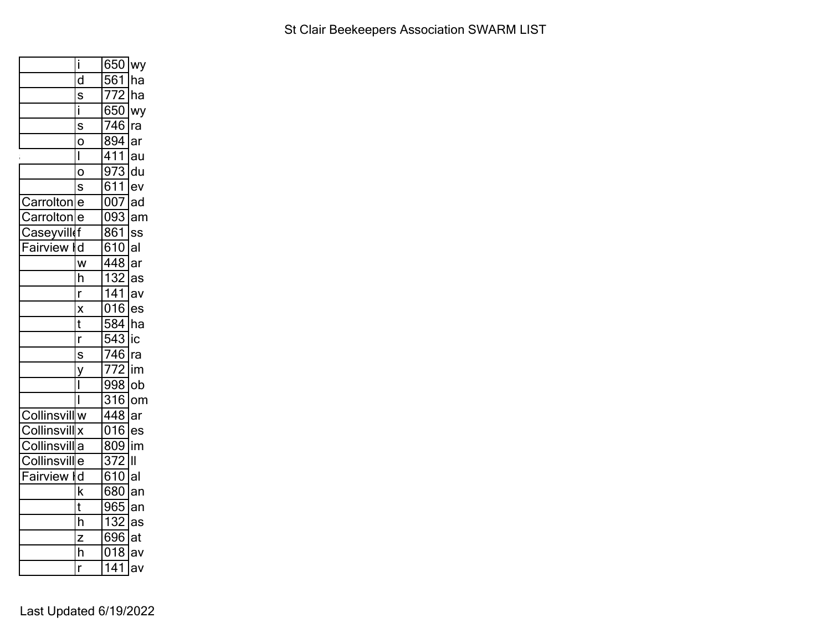|                          | i              | 650 wy               |              |
|--------------------------|----------------|----------------------|--------------|
|                          | d              | $\overline{561}$ ha  |              |
|                          | S              | $\overline{772}$  ha |              |
|                          | i.             | $650$ wy             |              |
|                          | S              | $\overline{746}$     | ra           |
|                          | $\overline{O}$ | $\overline{894}$     | ar           |
|                          |                | 411                  | au           |
|                          | $\mathbf{o}$   | 973                  | du           |
|                          | $\sf s$        | 611                  | ev           |
| Carrolton <sup>e</sup>   |                | 007                  | ad           |
| Carrolton <sup>e</sup>   |                | 093                  | am           |
| <b>Caseyvillef</b>       |                | 861                  | SS           |
| Fairview I               | $\mathsf{d}$   | 610                  | al           |
|                          | W              | 448 ar               |              |
|                          | h              | 132                  | as           |
|                          | r              | $\overline{141}$     | av           |
|                          | $\mathsf{x}$   | $\overline{016}$     | es           |
|                          | $\mathbf t$    | $584$ ha             |              |
|                          | r              | $\overline{543}$ ic  |              |
|                          | S              | $\overline{746}$ ra  |              |
|                          | y              | $\overline{772}$ im  |              |
|                          |                | 998                  | ob           |
|                          |                | 316                  | om           |
| <b>Collinsvill</b> w     |                | 448 ar               |              |
| Collinsvill <sub>x</sub> |                | 016                  | es           |
| Collinsvilla             |                | $809$ im             |              |
| Collinsville             |                | 372                  | $\mathbf{I}$ |
| Fairview I               | $\mathsf{d}$   | 610                  | al           |
|                          | k              | 680                  | an           |
|                          | $\mathbf t$    | 965                  | an           |
|                          | $\overline{h}$ | $\overline{132}$     | as           |
|                          | Z              | 696                  | at           |
|                          | h              | $018$ av             |              |
|                          | r              | $\overline{141}$     | av           |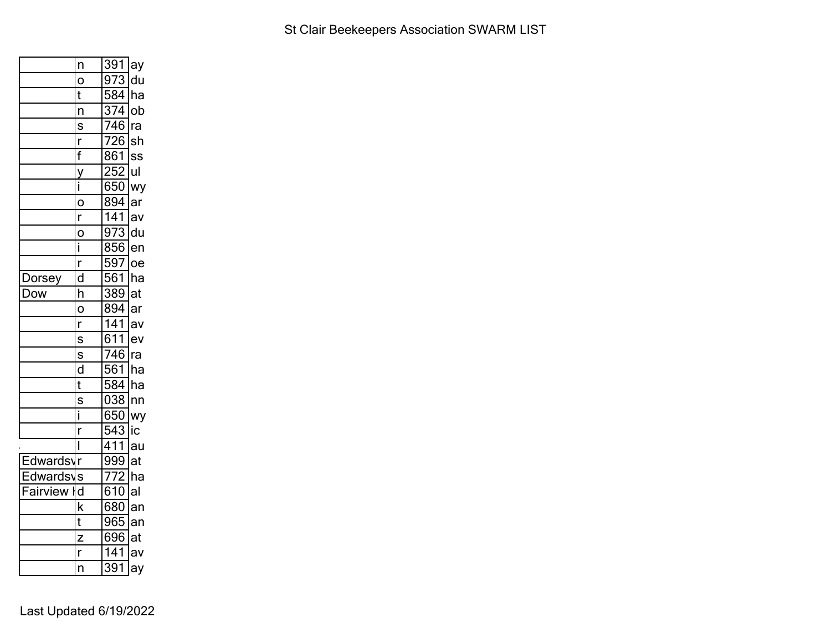| n                       |           | 391                 | ay                  |
|-------------------------|-----------|---------------------|---------------------|
| $\mathbf{o}$            |           | 973                 | du                  |
| $\mathsf{t}$            |           |                     | $\overline{584}$ ha |
| $\mathsf{n}$            |           | 374                 | ob                  |
| $\mathbf s$             |           | 746                 | ra                  |
| r                       |           | 726                 | sh                  |
| $\overline{\mathsf{f}}$ |           | 861                 | SS                  |
| y                       |           | 252                 | ul                  |
| i                       |           | 650                 | wy                  |
| $\mathbf{o}$            |           | 894                 | ar                  |
| r                       |           | 141                 | av                  |
| $\circ$                 |           | 973                 | du                  |
| i                       |           | 856                 | en                  |
| r                       |           | 597                 | oe                  |
| $\overline{d}$          | Dorsey    | 561                 | ha                  |
| $\overline{\mathsf{h}}$ | Dow       | 389                 | at                  |
| $\mathbf{o}$            |           | 894                 | ar                  |
| r                       |           | 141                 | av                  |
| $\mathbf{s}$            |           | 611                 | ev                  |
| S                       |           | 746                 | ra                  |
| $\overline{d}$          |           | 561                 | ha                  |
| t                       |           | 584                 | ha                  |
| $\mathbf{s}$            |           | 038                 | nn                  |
| ī                       |           | 650                 | wy                  |
| r                       |           | $\overline{543}$ ic |                     |
| I                       |           | 411                 | au                  |
|                         | Edwardsvr | 999                 | at                  |
|                         | Edwardsvs | 772                 | ha                  |
| d                       | Fairview  | 610                 | al                  |
| $\mathsf k$             |           | 680                 | an                  |
| t                       |           | 965                 | an                  |
| Z                       |           | 696                 | at                  |
| r                       |           | 141                 | av                  |
| n                       |           | 391                 | ay                  |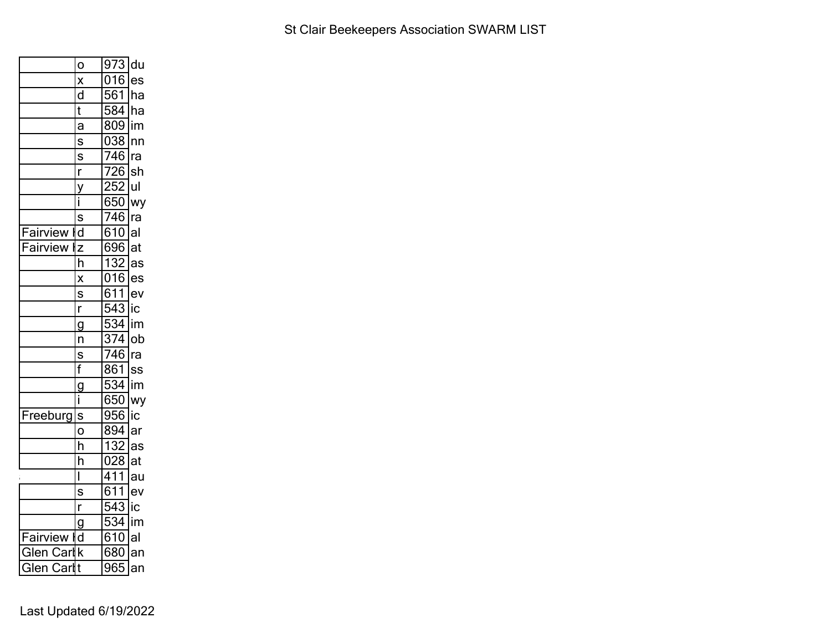|                            | $\mathbf 0$  | 973              | du |
|----------------------------|--------------|------------------|----|
|                            | X            | 016              | es |
|                            | d            | 561              | ha |
|                            | t            | 584              | ha |
|                            | a            | 809              | im |
|                            | S            | 038              | nn |
|                            | S            | 746              | ra |
|                            | r            | 726              | sh |
|                            | y            | 252              | ul |
|                            | i            | 650              | wy |
|                            | S            | 746              | ra |
| Fairview I                 | d            | 610              | al |
| Fairview                   | Z            | 696              | at |
|                            | h            | 132              | as |
|                            | X            | $\overline{016}$ | es |
|                            | S            | $\overline{61}1$ | ev |
|                            | r            | 543              | ic |
|                            | g            | 534              | im |
|                            | n            | 374              | ob |
|                            | S            | 746              | ra |
|                            | f            | 861              | SS |
|                            | g            | 534              | im |
|                            | i            | 650              | wy |
| Freeburg                   | S            | 956              | ic |
|                            | $\mathbf{o}$ | 894              | ar |
|                            | h            | 132              | as |
|                            | h            | 028              | at |
|                            | I            | 411              | au |
|                            | S            | 611              | ev |
|                            | r            | 543              | ic |
|                            | g            | 534              | im |
| Fairview Id                |              | 610              | al |
| $\overline{C}$ arl<br>Glen | k            | 680              | an |
| Glen Carlt                 |              | 965              | an |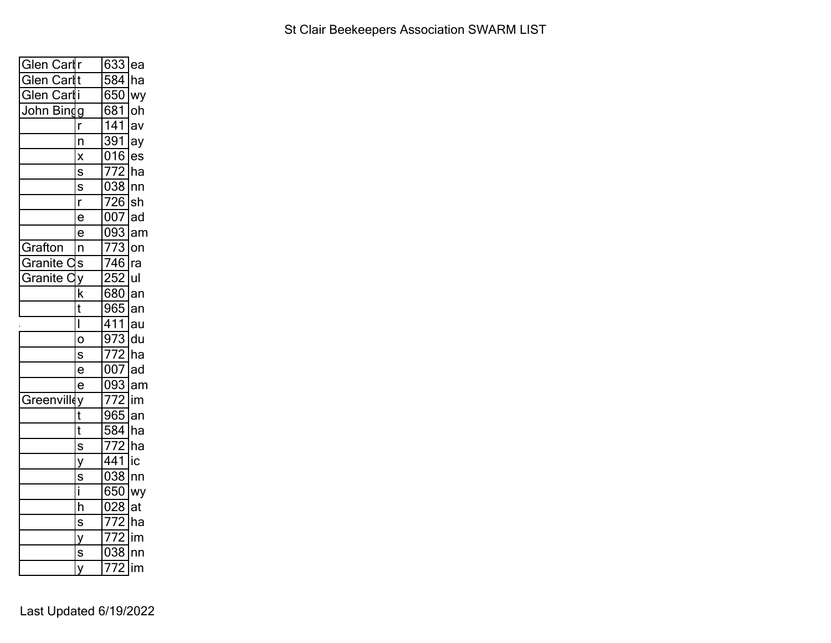| Glen Carl     |                         | $633$ ea         |    |
|---------------|-------------------------|------------------|----|
| Glen<br>Carlt |                         | 584              | ha |
| Glen Carli    |                         | 650              | wy |
| John Bindg    |                         | 681              | oh |
|               | r                       | 141              | av |
|               | n                       | 391              | ay |
|               | X                       | 016              | es |
|               | S                       | 772              | ha |
|               | S                       | $\overline{0}38$ | nn |
|               | r                       | 726              | sh |
|               | e                       | 007              | ad |
|               | е                       | 093              | am |
| Grafton       | n                       | $77\overline{3}$ | on |
| Granite C     | S                       | 746              | ra |
| Granite<br>(  | <u>y</u>                | 252              | ul |
|               | k                       | 680              | an |
|               | t                       | 965              | an |
|               | I                       | 411              | au |
|               | $\mathbf{o}$            | 973              | du |
|               | S                       | $\overline{772}$ | ha |
|               | е                       | 007              | ad |
|               | е                       | 093              | am |
| Greenville    | y                       | $\overline{772}$ | im |
|               | t                       | 965              | an |
|               | t                       | 584              | ha |
|               | S                       | 772              | ha |
|               | y                       | 441              | ic |
|               | S                       | 038              | nn |
|               | ī                       | 650              | wy |
|               | h                       | 028              | at |
|               | s                       | 772              | ha |
|               | y                       | 772              | im |
|               | $\overline{\mathbf{S}}$ | 038              | nn |
|               | $\overline{y}$          | $\overline{772}$ | im |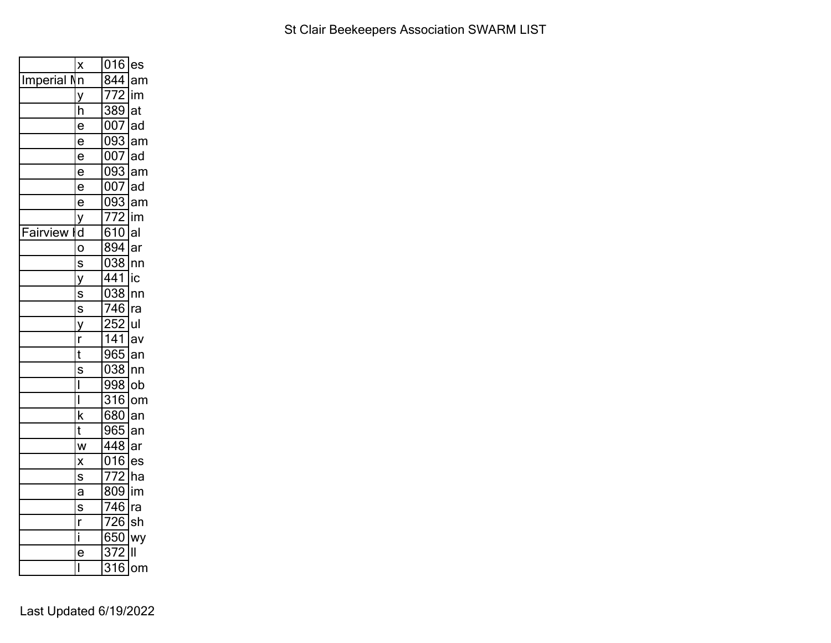|               | X | 016   es         |    |
|---------------|---|------------------|----|
| Imperial<br>Ŋ | n | 844              | am |
|               | y | 772              | im |
|               | h | 389              | at |
|               | e | 007              | ad |
|               | e | 093              | am |
|               | е | 007              | ad |
|               | e | 093              | am |
|               | е | $00\overline{7}$ | ad |
|               | e | 093              | am |
|               | y | 772              | im |
| Fairview      | d | 610              | al |
|               | O | 894              | ar |
|               | S | 038              | nn |
|               | y | 441              | ic |
|               | S | 038              | nn |
|               | S | 746              | ra |
|               | y | 252              | ul |
|               | r | 141              | av |
|               | t | 965              | an |
|               | S | 038              | nn |
|               | I | 998              | ob |
|               | Ī | 316              | om |
|               | k | 680              | an |
|               | t | 965              | an |
|               | W | 448              | ar |
|               | X | 016              | es |
|               | S | 772              | ha |
|               | a | 809              | im |
|               | S | 746              | ra |
|               | r | $\overline{726}$ | sh |
|               | ī | 650              | wy |
|               | е | 372              | II |
|               | I | $\overline{316}$ | om |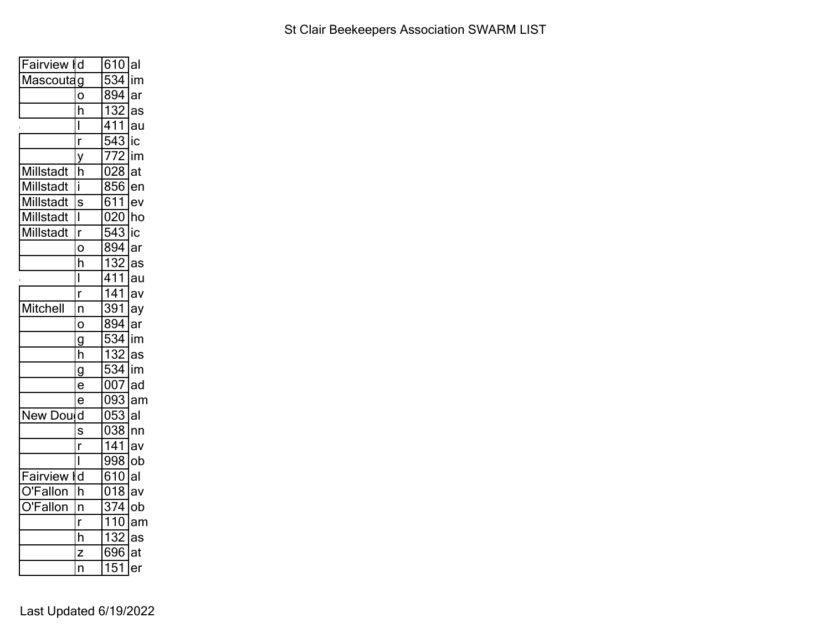| Fairview Id      |                         | $610$ al            |    |
|------------------|-------------------------|---------------------|----|
| Mascoutag        |                         | 534 lim             |    |
|                  | $\overline{O}$          | 894                 | ar |
|                  | $\mathsf{h}$            | 132                 | as |
|                  |                         | 411                 | au |
|                  | r                       | $543$  ic           |    |
|                  | y                       | 772                 | im |
| Millstadt        | h                       | 028                 | at |
| <b>Millstadt</b> | ī                       | 856                 | en |
| Millstadt        | $\mathbf{s}$            | 611                 | ev |
| Millstadt        | Ī                       | 020                 | ho |
| Millstadt        | r                       | 543                 | ic |
|                  | $\mathbf{o}$            | $894$ ar            |    |
|                  | $\mathsf{h}$            | 132                 | as |
|                  |                         | 411                 | au |
|                  | r                       | $\overline{141}$    | av |
| Mitchell         | n                       | 391                 | ay |
|                  | $\mathbf{o}$            | 894                 | ar |
|                  | g                       | $\overline{534}$ im |    |
|                  | $\overline{h}$          | 132                 | as |
|                  | $\overline{g}$          | 534 lim             |    |
|                  | e                       | 007                 | ad |
|                  | e                       | 093 am              |    |
| New Dou          | $\overline{\mathsf{d}}$ | 053                 | al |
|                  | S                       | 038                 | nn |
|                  | r                       | 141                 | av |
|                  | L                       | 998                 | ob |
| <b>Fairview</b>  | $\mathsf{d}$            | 610                 | al |
| O'Fallon         | $\mathsf{h}$            | 018                 | av |
| O'Fallon         | n                       | 374                 | ob |
|                  | r                       | 110                 | am |
|                  | $\mathsf{h}$            | 132                 | as |
|                  | Z                       | 696                 | at |
|                  | n                       | 151                 | er |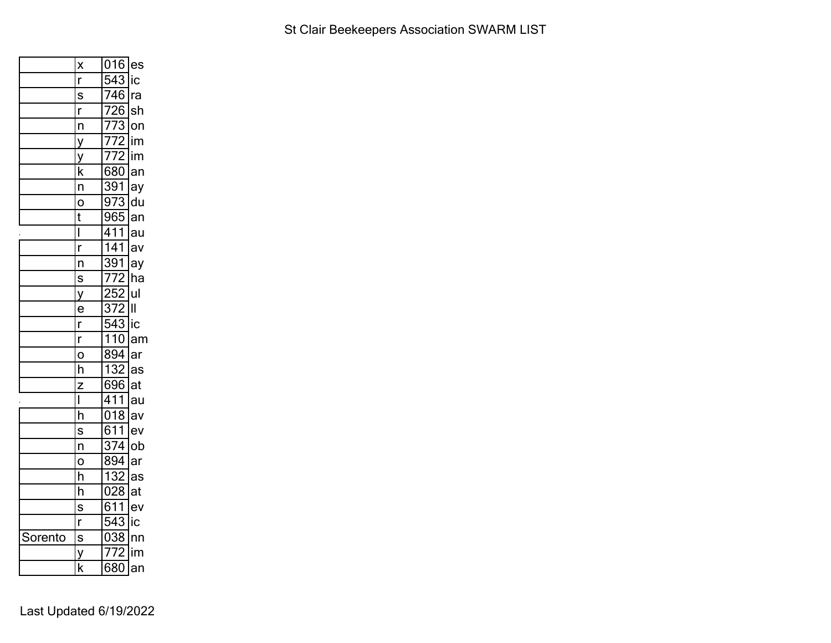|         | X            | $016$ es         |    |
|---------|--------------|------------------|----|
|         | r            | 543              | ic |
|         | S            | 746              | ra |
|         | r            | $\overline{726}$ | sh |
|         | n            | $77\overline{3}$ | on |
|         | y            | $\frac{7}{2}$    | im |
|         | y            | $\overline{772}$ | im |
|         | k            | 680              | an |
|         | n            | 391              | ay |
|         | $\mathbf{o}$ | 973              | du |
|         | t            | 965              | an |
|         | I            | 411              | au |
|         | r            | $\overline{141}$ | av |
|         | n            | 391              | ay |
|         | S            | $\overline{772}$ | ha |
|         | y            | $\overline{252}$ | ul |
|         | е            | 372              | II |
|         | r            | 543              | ic |
|         | r            | 110              | am |
|         | $\mathbf{o}$ | 894              | ar |
|         | h            | 132              | as |
|         | z            | 696              | at |
|         | I            | 411              | au |
|         | h            | $\overline{018}$ | av |
|         | S            | 611              | ev |
|         | n            | $\overline{374}$ | ob |
|         | $\mathbf{o}$ | 894              | ar |
|         | h            | 132              | as |
|         | h            | $\overline{028}$ | at |
|         | S            | 611              | ev |
|         | r            | 543              | ic |
| Sorento | S            | 038              | nn |
|         | y            | 72<br>7          | im |
|         | $\mathsf k$  | 680              | an |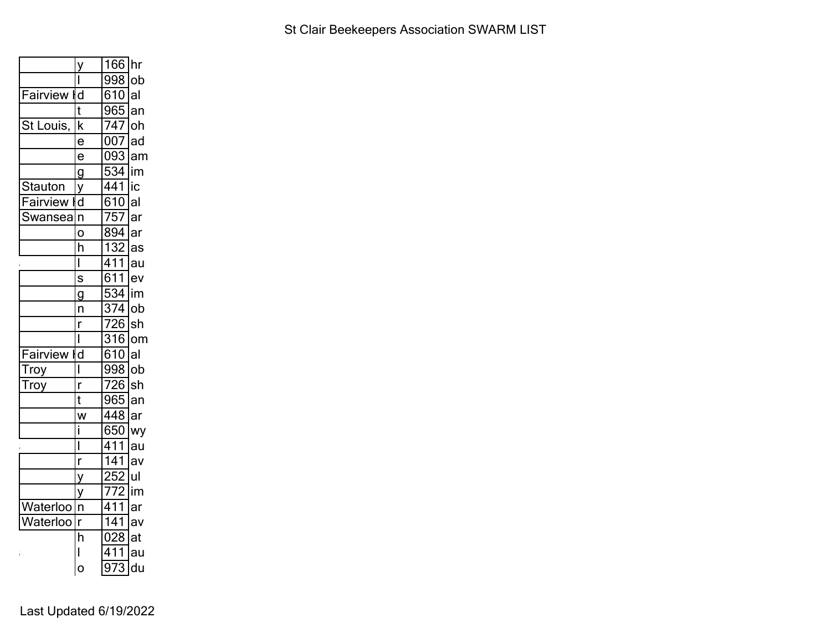|                | ٧              | $166$ hr             |    |
|----------------|----------------|----------------------|----|
|                |                | 998                  | ob |
| Fairview I     | d              | $610$ al             |    |
|                | $\mathbf t$    | 965 an               |    |
| St Louis,      | $\mathsf k$    | 747                  | oh |
|                | e              | 007                  | ad |
|                | e              | 093 am               |    |
|                | g              | $\overline{534}$ lim |    |
| <b>Stauton</b> | y              | $\overline{441}$ ic  |    |
| Fairview I     | d              | 610                  | al |
| Swansea n      |                | $\overline{757}$     | ar |
|                | $\mathbf{o}$   | $894$ ar             |    |
|                | h              | $132$ as             |    |
|                | I              | 411                  | au |
|                | S              | 611                  | ev |
|                | g              | $534$ im             |    |
|                | n              | 374                  | ob |
|                | r              | $\overline{726}$ sh  |    |
|                |                | 316                  | om |
| Fairview       | d              | 610                  | al |
| Troy           | I              | 998                  | ob |
| Troy           | r              | 726 sh               |    |
|                | $\mathsf{t}$   | $965$ an             |    |
|                | W              | 448                  | ar |
|                | i              | $650$ wy             |    |
|                |                | 411                  | au |
|                | r              | 141                  | av |
|                | v              | 252                  | ul |
|                | y              | $\overline{772}$ lim |    |
| Waterloo n     |                | 411                  | ar |
| Waterloo       | $\mathsf{r}$   | 141                  | av |
|                | $\mathsf{h}$   | $028$ at             |    |
|                |                | 411                  | au |
|                | $\overline{O}$ | 973                  | du |